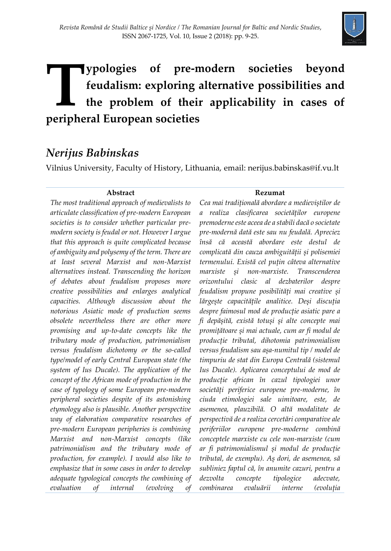

# **ypologies of pre-modern societies beyond feudalism: exploring alternative possibilities and the problem of their applicability in cases of Peripheral European societies**<br> **Peripheral European societies**

## *Nerijus Babinskas*

Vilnius University, Faculty of History, Lithuania, email: nerijus.babinskas@if.vu.lt

#### **Abstract**

*The most traditional approach of medievalists to articulate classification of pre-modern European societies is to consider whether particular premodern society is feudal or not. However I argue that this approach is quite complicated because of ambiguity and polysemy of the term. There are at least several Marxist and non-Marxist alternatives instead. Transcending the horizon of debates about feudalism proposes more creative possibilities and enlarges analytical capacities. Although discussion about the notorious Asiatic mode of production seems obsolete nevertheless there are other more promising and up-to-date concepts like the tributary mode of production, patrimonialism versus feudalism dichotomy or the so-called type/model of early Central European state (the system of Ius Ducale). The application of the concept of the African mode of production in the case of typology of some European pre-modern peripheral societies despite of its astonishing etymology also is plausible. Another perspective way of elaboration comparative researches of pre-modern European peripheries is combining Marxist and non-Marxist concepts (like patrimonialism and the tributary mode of production, for example). I would also like to emphasize that in some cases in order to develop adequate typological concepts the combining of evaluation of internal (evolving of* 

#### **Rezumat**

*Cea mai tradițională abordare a medieviștilor de a realiza clasificarea societăților europene premoderne este aceea de a stabili dacă o societate pre-modernă dată este sau nu feudală. Apreciez însă că această abordare este destul de complicată din cauza ambiguității și polisemiei termenului. Există cel puțin câteva alternative marxiste și non-marxiste. Transcenderea orizontului clasic al dezbaterilor despre feudalism propune posibilități mai creative și lărgește capacitățile analitice. Deși discuția despre faimosul mod de producție asiatic pare a fi depășită, există totuși și alte concepte mai promițătoare și mai actuale, cum ar fi modul de producție tributal, dihotomia patrimonialism versus feudalism sau așa-numitul tip / model de timpuriu de stat din Europa Centrală (sistemul Ius Ducale). Aplicarea conceptului de mod de producție african în cazul tipologiei unor societăți periferice europene pre-moderne, în ciuda etimologiei sale uimitoare, este, de asemenea, plauzibilă. O altă modalitate de perspectivă de a realiza cercetări comparative ale periferiilor europene pre-moderne combină conceptele marxiste cu cele non-marxiste (cum ar fi patrimonialismul și modul de producție tributal, de exemplu). Aș dori, de asemenea, să subliniez faptul că, în anumite cazuri, pentru a dezvolta concepte tipologice adecvate, combinarea evaluării interne (evoluția*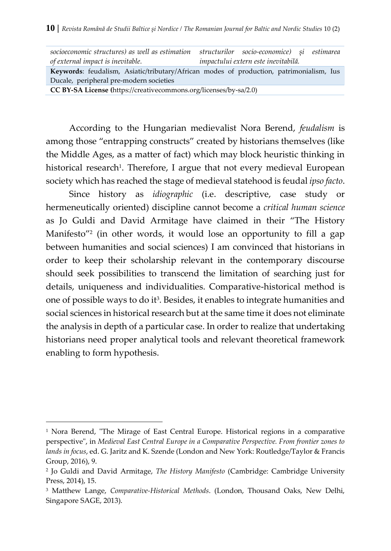| socioeconomic structures) as well as estimation structurilor socio-economice) si estimarea |                                     |  |  |  |
|--------------------------------------------------------------------------------------------|-------------------------------------|--|--|--|
| of external impact is inevitable.                                                          | impactului extern este inevitabilă. |  |  |  |
| Keywords: feudalism, Asiatic/tributary/African modes of production, patrimonialism, Ius    |                                     |  |  |  |
| Ducale, peripheral pre-modern societies                                                    |                                     |  |  |  |
| CC BY-SA License (https://creativecommons.org/licenses/by-sa/2.0)                          |                                     |  |  |  |

According to the Hungarian medievalist Nora Berend, *feudalism* is among those "entrapping constructs" created by historians themselves (like the Middle Ages, as a matter of fact) which may block heuristic thinking in historical research<sup>1</sup>. Therefore, I argue that not every medieval European society which has reached the stage of medieval statehood is feudal *ipso facto*.

Since history as *idiographic* (i.e. descriptive, case study or hermeneutically oriented) discipline cannot become a *critical human science* as Jo Guldi and David Armitage have claimed in their "The History Manifesto"<sup>2</sup> (in other words, it would lose an opportunity to fill a gap between humanities and social sciences) I am convinced that historians in order to keep their scholarship relevant in the contemporary discourse should seek possibilities to transcend the limitation of searching just for details, uniqueness and individualities. Comparative-historical method is one of possible ways to do it<sup>3</sup>. Besides, it enables to integrate humanities and social sciences in historical research but at the same time it does not eliminate the analysis in depth of a particular case. In order to realize that undertaking historians need proper analytical tools and relevant theoretical framework enabling to form hypothesis.

<sup>&</sup>lt;sup>1</sup> Nora Berend, "The Mirage of East Central Europe. Historical regions in a comparative perspective", in *Medieval East Central Europe in a Comparative Perspective. From frontier zones to lands in focus*, ed. G. Jaritz and K. Szende (London and New York: Routledge/Taylor & Francis Group, 2016), 9.

<sup>2</sup> Jo Guldi and David Armitage, *The History Manifesto* (Cambridge: Cambridge University Press, 2014), 15.

<sup>3</sup> Matthew Lange, *Comparative-Historical Methods*. (London, Thousand Oaks, New Delhi, Singapore SAGE, 2013).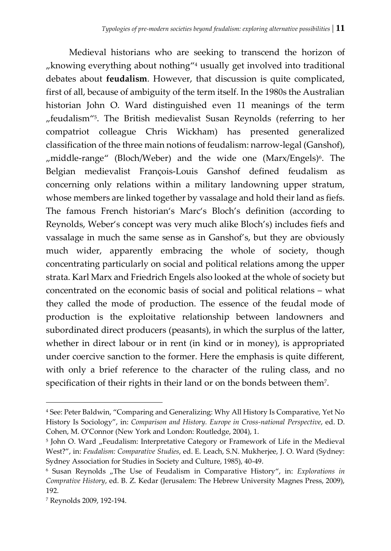Medieval historians who are seeking to transcend the horizon of  $n_{\text{m}}$  knowing everything about nothing<sup> $n_4$ </sup> usually get involved into traditional debates about **feudalism**. However, that discussion is quite complicated, first of all, because of ambiguity of the term itself. In the 1980s the Australian historian John O. Ward distinguished even 11 meanings of the term "feudalism"<sup>5</sup>. The British medievalist Susan Reynolds (referring to her compatriot colleague Chris Wickham) has presented generalized classification of the three main notions of feudalism: narrow-legal (Ganshof), "middle-range" (Bloch/Weber) and the wide one (Marx/Engels)<sup>6</sup>. The Belgian medievalist François-Louis Ganshof defined feudalism as concerning only relations within a military landowning upper stratum, whose members are linked together by vassalage and hold their land as fiefs. The famous French historian's Marc's Bloch's definition (according to Reynolds, Weber's concept was very much alike Bloch's) includes fiefs and vassalage in much the same sense as in Ganshof's, but they are obviously much wider, apparently embracing the whole of society, though concentrating particularly on social and political relations among the upper strata. Karl Marx and Friedrich Engels also looked at the whole of society but concentrated on the economic basis of social and political relations – what they called the mode of production. The essence of the feudal mode of production is the exploitative relationship between landowners and subordinated direct producers (peasants), in which the surplus of the latter, whether in direct labour or in rent (in kind or in money), is appropriated under coercive sanction to the former. Here the emphasis is quite different, with only a brief reference to the character of the ruling class, and no specification of their rights in their land or on the bonds between them<sup>7</sup>.

<sup>4</sup> See: Peter Baldwin, "Comparing and Generalizing: Why All History Is Comparative, Yet No History Is Sociology", in: *Comparison and History. Europe in Cross-national Perspective*, ed. D. Cohen, M. O'Connor (New York and London: Routledge, 2004), 1.

<sup>&</sup>lt;sup>5</sup> John O. Ward "Feudalism: Interpretative Category or Framework of Life in the Medieval West?", in: *Feudalism: Comparative Studies*, ed. E. Leach, S.N. Mukherjee, J. O. Ward (Sydney: Sydney Association for Studies in Society and Culture, 1985), 40-49.

<sup>6</sup> Susan Reynolds "The Use of Feudalism in Comparative History", in: *Explorations in Comprative History*, ed. B. Z. Kedar (Jerusalem: The Hebrew University Magnes Press, 2009), 192.

<sup>7</sup> Reynolds 2009, 192-194.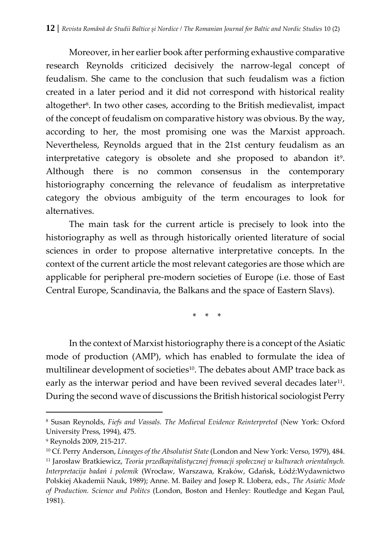Moreover, in her earlier book after performing exhaustive comparative research Reynolds criticized decisively the narrow-legal concept of feudalism. She came to the conclusion that such feudalism was a fiction created in a later period and it did not correspond with historical reality altogether<sup>8</sup> . In two other cases, according to the British medievalist, impact of the concept of feudalism on comparative history was obvious. By the way, according to her, the most promising one was the Marxist approach. Nevertheless, Reynolds argued that in the 21st century feudalism as an interpretative category is obsolete and she proposed to abandon it<sup>9</sup>. Although there is no common consensus in the contemporary historiography concerning the relevance of feudalism as interpretative category the obvious ambiguity of the term encourages to look for alternatives.

The main task for the current article is precisely to look into the historiography as well as through historically oriented literature of social sciences in order to propose alternative interpretative concepts. In the context of the current article the most relevant categories are those which are applicable for peripheral pre-modern societies of Europe (i.e. those of East Central Europe, Scandinavia, the Balkans and the space of Eastern Slavs).

\* \* \*

In the context of Marxist historiography there is a concept of the Asiatic mode of production (AMP), which has enabled to formulate the idea of multilinear development of societies<sup>10</sup>. The debates about AMP trace back as early as the interwar period and have been revived several decades later<sup>11</sup>. During the second wave of discussions the British historical sociologist Perry

<sup>8</sup> Susan Reynolds, *Fiefs and Vassals. The Medieval Evidence Reinterpreted* (New York: Oxford University Press, 1994), 475.

<sup>9</sup> Reynolds 2009, 215-217.

<sup>10</sup> Cf. Perry Anderson, *Lineages of the Absolutist State* (London and New York: Verso, 1979), 484. <sup>11</sup> Jarosław Bratkiewicz, *Teoria przedkapitalistycznej fromacji społecznej w kulturach orientalnych. Interpretacija badań i polemik* (Wrocław, Warszawa, Kraków, Gdańsk, Łódź:Wydawnictwo Polskiej Akademii Nauk, 1989); Anne. M. Bailey and Josep R. Llobera, eds., *The Asiatic Mode of Production. Science and Politcs* (London, Boston and Henley: Routledge and Kegan Paul, 1981).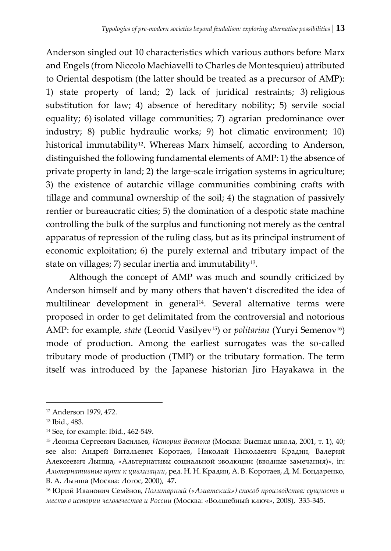Anderson singled out 10 characteristics which various authors before Marx and Engels (from Niccolo Machiavelli to Charles de Montesquieu) attributed to Oriental despotism (the latter should be treated as a precursor of AMP): 1) state property of land; 2) lack of juridical restraints; 3) religious substitution for law; 4) absence of hereditary nobility; 5) servile social equality; 6) isolated village communities; 7) agrarian predominance over industry; 8) public hydraulic works; 9) hot climatic environment; 10) historical immutability<sup>12</sup>. Whereas Marx himself, according to Anderson, distinguished the following fundamental elements of AMP: 1) the absence of private property in land; 2) the large-scale irrigation systems in agriculture; 3) the existence of autarchic village communities combining crafts with tillage and communal ownership of the soil; 4) the stagnation of passively rentier or bureaucratic cities; 5) the domination of a despotic state machine controlling the bulk of the surplus and functioning not merely as the central apparatus of repression of the ruling class, but as its principal instrument of economic exploitation; 6) the purely external and tributary impact of the state on villages; 7) secular inertia and immutability<sup>13</sup> .

Although the concept of AMP was much and soundly criticized by Anderson himself and by many others that haven't discredited the idea of multilinear development in general<sup>14</sup> . Several alternative terms were proposed in order to get delimitated from the controversial and notorious AMP: for example, *state* (Leonid Vasilyev<sup>15</sup>) or *politarian* (Yuryi Semenov<sup>16</sup>) mode of production. Among the earliest surrogates was the so-called tributary mode of production (TMP) or the tributary formation. The term itself was introduced by the Japanese historian Jiro Hayakawa in the

<sup>12</sup> Anderson 1979, 472.

<sup>13</sup> Ibid., 483.

<sup>14</sup> See, for example: Ibid., 462-549.

<sup>15</sup> Леонид Сергеевич Васильев, *История Востока* (Москва: Высшая школа, 2001, т. 1), 40; see also: Андрей Витальевич Коротаев, Николай Николаевич Крадин, Валерий Алексеевич Лынша, «Альтернативы социальной эволюции (вводные замечания)», in: *Альтернативные пути к цивлизации*, ред. Н. Н. Крадин, А. В. Коротаев, Д. М. Бондаренко, В. А. Лынша (Москва: Логос, 2000), 47.

<sup>16</sup> Юрий Иванович Семёнов, *Политарный («Азиатский») способ производства: сущность и место в истории человечества и России* (Москва: «Волшебный ключ», 2008), 335-345.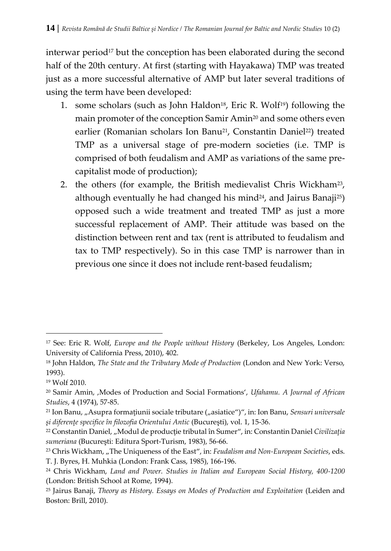interwar period<sup>17</sup> but the conception has been elaborated during the second half of the 20th century. At first (starting with Hayakawa) TMP was treated just as a more successful alternative of AMP but later several traditions of using the term have been developed:

- 1. some scholars (such as John Haldon<sup>18</sup>, Eric R. Wolf<sup>19</sup>) following the main promoter of the conception Samir Amin<sup>20</sup> and some others even earlier (Romanian scholars Ion Banu<sup>21</sup>, Constantin Daniel<sup>22</sup>) treated TMP as a universal stage of pre-modern societies (i.e. TMP is comprised of both feudalism and AMP as variations of the same precapitalist mode of production);
- 2. the others (for example, the British medievalist Chris Wickham<sup>23</sup>, although eventually he had changed his mind<sup>24</sup>, and Jairus Banaji<sup>25</sup>) opposed such a wide treatment and treated TMP as just a more successful replacement of AMP. Their attitude was based on the distinction between rent and tax (rent is attributed to feudalism and tax to TMP respectively). So in this case TMP is narrower than in previous one since it does not include rent-based feudalism;

<sup>17</sup> See: Eric R. Wolf, *Europe and the People without History* (Berkeley, Los Angeles, London: University of California Press, 2010), 402.

<sup>18</sup> John Haldon, *The State and the Tributary Mode of Production* (London and New York: Verso, 1993).

<sup>19</sup> Wolf 2010.

<sup>20</sup> Samir Amin, 'Modes of Production and Social Formations', *Ufahamu. A Journal of African Studies*, 4 (1974), 57-85.

<sup>&</sup>lt;sup>21</sup> Ion Banu, "Asupra formațiunii sociale tributare ("asiatice")", in: Ion Banu, *Sensuri universale şi diferenţe specifice în filozofia Orientului Antic* (Bucureşti), vol. 1, 15-36.

<sup>22</sup> Constantin Daniel, "Modul de producţie tributal în Sumer", in: Constantin Daniel *Civilizaţia sumeriana* (Bucureşti: Editura Sport-Turism, 1983), 56-66.

<sup>&</sup>lt;sup>23</sup> Chris Wickham, "The Uniqueness of the East", in: *Feudalism and Non-European Societies*, eds. T. J. Byres, H. Muhkia (London: Frank Cass, 1985), 166-196.

<sup>24</sup> Chris Wickham, *Land and Power. Studies in Italian and European Social History, 400-1200* (London: British School at Rome, 1994).

<sup>25</sup> Jairus Banaji, *Theory as History. Essays on Modes of Production and Exploitation* (Leiden and Boston: Brill, 2010).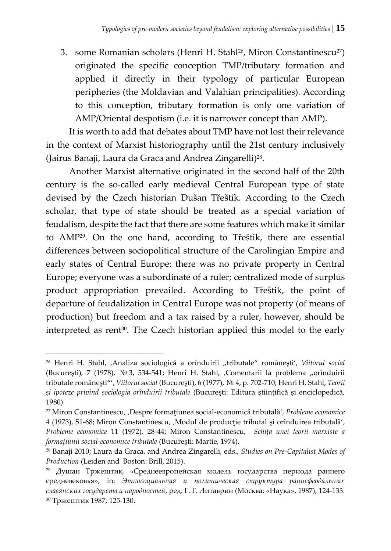3. some Romanian scholars (Henri H. Stahl<sup>26</sup>, Miron Constantinescu<sup>27</sup>) originated the specific conception TMP/tributary formation and applied it directly in their typology of particular European peripheries (the Moldavian and Valahian principalities). According to this conception, tributary formation is only one variation of AMP/Oriental despotism (i.e. it is narrower concept than AMP).

It is worth to add that debates about TMP have not lost their relevance in the context of Marxist historiography until the 21st century inclusively (Jairus Banaji, Laura da Graca and Andrea Zingarelli)<sup>28</sup> .

Another Marxist alternative originated in the second half of the 20th century is the so-called early medieval Central European type of state devised by the Czech historian Dušan Třeštik. According to the Czech scholar, that type of state should be treated as a special variation of feudalism, despite the fact that there are some features which make it similar to AMP29. On the one hand, according to Třeštik, there are essential differences between sociopolitical structure of the Carolingian Empire and early states of Central Europe: there was no private property in Central Europe; everyone was a subordinate of a ruler; centralized mode of surplus product appropriation prevailed. According to Třeštik, the point of departure of feudalization in Central Europe was not property (of means of production) but freedom and a tax raised by a ruler, however, should be interpreted as rent<sup>30</sup>. The Czech historian applied this model to the early

<sup>26</sup> Henri H. Stahl, 'Analiza sociologicǎ a orînduirii "tributale" româneşti', *Viitorul social* (Bucureşti), 7 (1978), № 3, 534-541; Henri H. Stahl, 'Comentarii la problema "orînduirii tributale româneşti"', *Viitorul social* (Bucureşti), 6 (1977), № 4, p. 702-710; Henri H. Stahl, *Teorii şi ipoteze privind sociologia orînduirii tributale* (Bucureşti: Editura ştiinţifică şi enciclopedică, 1980).

<sup>27</sup> Miron Constantinescu, 'Despre formaţiunea social-economicǎ tributalǎ', *Probleme economice*  4 (1973), 51-68; Miron Constantinescu, 'Modul de producţie tributal şi orînduirea tributalǎ', *Probleme economice* 11 (1972), 28-44; Miron Constantinescu, *Schiţa unei teorii marxiste a formaţiunii social-economice tributale* (Bucureşti: Martie, 1974).

<sup>28</sup> Banaji 2010; Laura da Graca. and Andrea Zingarelli, eds., *Studies on Pre-Capitalist Modes of Production* (Leiden and Boston: Brill, 2015).

<sup>&</sup>lt;sup>29</sup> Душан Тржештик, «Среднеевропейская модель государства периода раннего средневековья», in: *Этносоциальная и политическая структура раннефеодальных славянских государств и народностей*, ред. Г. Г. Литаврин (Москва: «Наука», 1987), 124-133. <sup>30</sup> Тржештик 1987, 125-130.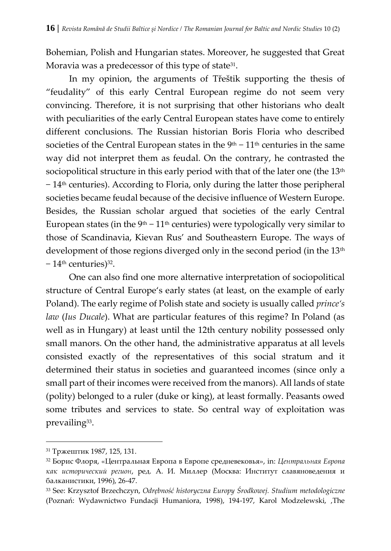Bohemian, Polish and Hungarian states. Moreover, he suggested that Great Moravia was a predecessor of this type of state<sup>31</sup>.

In my opinion, the arguments of Třeštik supporting the thesis of "feudality" of this early Central European regime do not seem very convincing. Therefore, it is not surprising that other historians who dealt with peculiarities of the early Central European states have come to entirely different conclusions. The Russian historian Boris Floria who described societies of the Central European states in the 9<sup>th</sup> − 11<sup>th</sup> centuries in the same way did not interpret them as feudal. On the contrary, he contrasted the sociopolitical structure in this early period with that of the later one (the 13<sup>th</sup> − 14th centuries). According to Floria, only during the latter those peripheral societies became feudal because of the decisive influence of Western Europe. Besides, the Russian scholar argued that societies of the early Central European states (in the  $9<sup>th</sup> - 11<sup>th</sup>$  centuries) were typologically very similar to those of Scandinavia, Kievan Rus' and Southeastern Europe. The ways of development of those regions diverged only in the second period (in the 13<sup>th</sup>) − 14<sup>th</sup> centuries)<sup>32</sup>.

One can also find one more alternative interpretation of sociopolitical structure of Central Europe's early states (at least, on the example of early Poland). The early regime of Polish state and society is usually called *prince's law* (*Ius Ducale*). What are particular features of this regime? In Poland (as well as in Hungary) at least until the 12th century nobility possessed only small manors. On the other hand, the administrative apparatus at all levels consisted exactly of the representatives of this social stratum and it determined their status in societies and guaranteed incomes (since only a small part of their incomes were received from the manors). All lands of state (polity) belonged to a ruler (duke or king), at least formally. Peasants owed some tributes and services to state. So central way of exploitation was prevailing<sup>33</sup>.

<sup>31</sup> Тржештик 1987, 125, 131.

<sup>32</sup> Борис Флоря, «Центральная Европа в Европе средневековья», in: *Центральная Европа как исторический регион*, ред. А. И. Миллер (Москва: Институт славяноведения и балканистики, 1996), 26-47.

<sup>33</sup> See: Krzysztof Brzechczyn, *Odrębność historyczna Europy Środkowej. Studium metodologiczne* (Poznań: Wydawnictwo Fundacji Humaniora, 1998), 194-197, Karol Modzelewski, 'The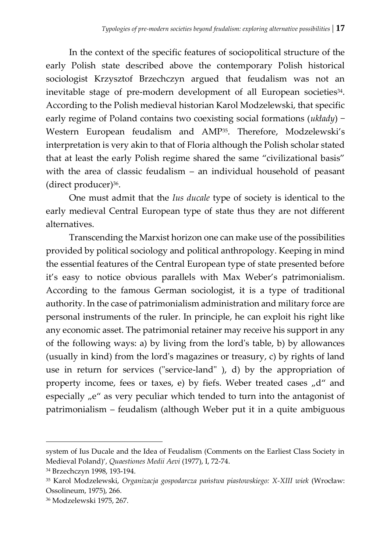In the context of the specific features of sociopolitical structure of the early Polish state described above the contemporary Polish historical sociologist Krzysztof Brzechczyn argued that feudalism was not an inevitable stage of pre-modern development of all European societies<sup>34</sup>. According to the Polish medieval historian Karol Modzelewski, that specific early regime of Poland contains two coexisting social formations (*układy*) − Western European feudalism and AMP35. Therefore, Modzelewski's interpretation is very akin to that of Floria although the Polish scholar stated that at least the early Polish regime shared the same "civilizational basis" with the area of classic feudalism – an individual household of peasant (direct producer)<sup>36</sup> .

One must admit that the *Ius ducale* type of society is identical to the early medieval Central European type of state thus they are not different alternatives.

Transcending the Marxist horizon one can make use of the possibilities provided by political sociology and political anthropology. Keeping in mind the essential features of the Central European type of state presented before it's easy to notice obvious parallels with Max Weber's patrimonialism. According to the famous German sociologist, it is a type of traditional authority. In the case of patrimonialism administration and military force are personal instruments of the ruler. In principle, he can exploit his right like any economic asset. The patrimonial retainer may receive his support in any of the following ways: a) by living from the lord's table, b) by allowances (usually in kind) from the lord's magazines or treasury, c) by rights of land use in return for services ("service-land" ), d) by the appropriation of property income, fees or taxes, e) by fiefs. Weber treated cases  $n/d$  and especially  $n e^u$  as very peculiar which tended to turn into the antagonist of patrimonialism – feudalism (although Weber put it in a quite ambiguous

system of Ius Ducale and the Idea of Feudalism (Comments on the Earliest Class Society in Medieval Poland)', *Quaestiones Medii Aevi* (1977), I, 72-74.

<sup>34</sup> Brzechczyn 1998, 193-194.

<sup>35</sup> Karol Modzelewski, *Organizacja gospodarcza państwa piastowskiego: X-XIII wiek* (Wrocław: Ossolineum, 1975), 266.

<sup>36</sup> Modzelewski 1975, 267.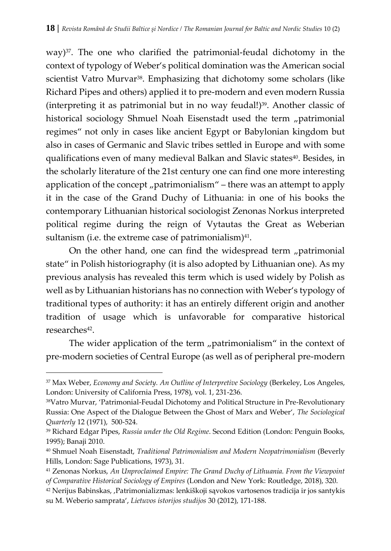way)<sup>37</sup>. The one who clarified the patrimonial-feudal dichotomy in the context of typology of Weber's political domination was the American social scientist Vatro Murvar<sup>38</sup>. Emphasizing that dichotomy some scholars (like Richard Pipes and others) applied it to pre-modern and even modern Russia (interpreting it as patrimonial but in no way feudal!) $39$ . Another classic of historical sociology Shmuel Noah Eisenstadt used the term "patrimonial regimes" not only in cases like ancient Egypt or Babylonian kingdom but also in cases of Germanic and Slavic tribes settled in Europe and with some qualifications even of many medieval Balkan and Slavic states40. Besides, in the scholarly literature of the 21st century one can find one more interesting application of the concept  $\mu$  patrimonialism" – there was an attempt to apply it in the case of the Grand Duchy of Lithuania: in one of his books the contemporary Lithuanian historical sociologist Zenonas Norkus interpreted political regime during the reign of Vytautas the Great as Weberian sultanism (i.e. the extreme case of patrimonialism) $41$ .

On the other hand, one can find the widespread term "patrimonial state" in Polish historiography (it is also adopted by Lithuanian one). As my previous analysis has revealed this term which is used widely by Polish as well as by Lithuanian historians has no connection with Weber's typology of traditional types of authority: it has an entirely different origin and another tradition of usage which is unfavorable for comparative historical researches<sup>42</sup>.

The wider application of the term  $n$  patrimonialism" in the context of pre-modern societies of Central Europe (as well as of peripheral pre-modern

<sup>37</sup> Max Weber, *Economy and Society. An Outline of Interpretive Sociology* (Berkeley, Los Angeles, London: University of California Press, 1978), vol. 1, 231-236.

<sup>38</sup>Vatro Murvar, 'Patrimonial-Feudal Dichotomy and Political Structure in Pre-Revolutionary Russia: One Aspect of the Dialogue Between the Ghost of Marx and Weber', *The Sociological Quarterly* 12 (1971), 500-524.

<sup>39</sup> Richard Edgar Pipes, *Russia under the Old Regime*. Second Edition (London: Penguin Books, 1995); Banaji 2010.

<sup>40</sup> Shmuel Noah Eisenstadt, *Traditional Patrimonialism and Modern Neopatrimonialism* (Beverly Hills, London: Sage Publications, 1973), 31.

<sup>41</sup> Zenonas Norkus, *An Unproclaimed Empire: The Grand Duchy of Lithuania. From the Viewpoint of Comparative Historical Sociology of Empires* (London and New York: Routledge, 2018), 320.

<sup>42</sup> Nerijus Babinskas, 'Patrimonializmas: lenkiškoji sąvokos vartosenos tradicija ir jos santykis su M. Weberio samprata', *Lietuvos istorijos studijos* 30 (2012), 171-188.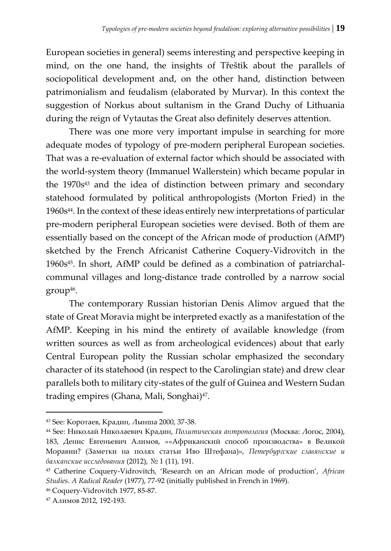European societies in general) seems interesting and perspective keeping in mind, on the one hand, the insights of Třeštik about the parallels of sociopolitical development and, on the other hand, distinction between patrimonialism and feudalism (elaborated by Murvar). In this context the suggestion of Norkus about sultanism in the Grand Duchy of Lithuania during the reign of Vytautas the Great also definitely deserves attention.

There was one more very important impulse in searching for more adequate modes of typology of pre-modern peripheral European societies. That was a re-evaluation of external factor which should be associated with the world-system theory (Immanuel Wallerstein) which became popular in the 1970s<sup>43</sup> and the idea of distinction between primary and secondary statehood formulated by political anthropologists (Morton Fried) in the 1960s44. In the context of these ideas entirely new interpretations of particular pre-modern peripheral European societies were devised. Both of them are essentially based on the concept of the African mode of production (AfMP) sketched by the French Africanist Catherine Coquery-Vidrovitch in the 1960s45. In short, AfMP could be defined as a combination of patriarchalcommunal villages and long-distance trade controlled by a narrow social group<sup>46</sup> .

The contemporary Russian historian Denis Alimov argued that the state of Great Moravia might be interpreted exactly as a manifestation of the AfMP. Keeping in his mind the entirety of available knowledge (from written sources as well as from archeological evidences) about that early Central European polity the Russian scholar emphasized the secondary character of its statehood (in respect to the Carolingian state) and drew clear parallels both to military city-states of the gulf of Guinea and Western Sudan trading empires (Ghana, Mali, Songhai)<sup>47</sup>.

<sup>43</sup> See: Коротаев, Крадин, Лынша 2000, 37-38.

<sup>44</sup> See: Николай Николаевич Крадин, *Политическая антропология* (Москва: Логос, 2004), 183, Денис Евгеньевич Алимов, ««Африканский способ производства» в Великой Моравии? (Заметки на полях статьи Иво Штефана)», *Петербургские славянские и балканские исследования* (2012), № 1 (11), 191.

<sup>45</sup> Catherine Coquery-Vidrovitch, 'Research on an African mode of production', *African Studies. A Radical Reader* (1977), 77-92 (initially published in French in 1969).

<sup>46</sup> Coquery-Vidrovitch 1977, 85-87.

<sup>47</sup> Алимов 2012, 192-193.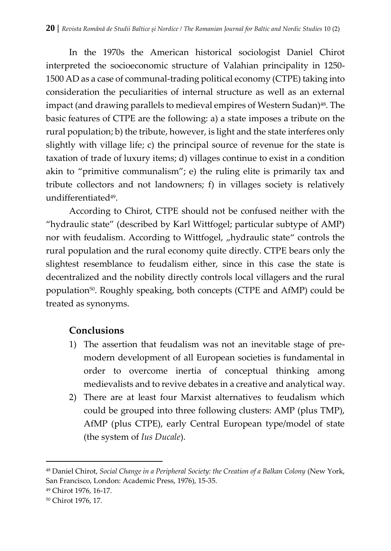In the 1970s the American historical sociologist Daniel Chirot interpreted the socioeconomic structure of Valahian principality in 1250- 1500 AD as a case of communal-trading political economy (CTPE) taking into consideration the peculiarities of internal structure as well as an external impact (and drawing parallels to medieval empires of Western Sudan) $^{48}$ . The basic features of CTPE are the following: a) a state imposes a tribute on the rural population; b) the tribute, however, is light and the state interferes only slightly with village life; c) the principal source of revenue for the state is taxation of trade of luxury items; d) villages continue to exist in a condition akin to "primitive communalism"; e) the ruling elite is primarily tax and tribute collectors and not landowners; f) in villages society is relatively undifferentiated<sup>49</sup>.

According to Chirot, CTPE should not be confused neither with the "hydraulic state" (described by Karl Wittfogel; particular subtype of AMP) nor with feudalism. According to Wittfogel, "hydraulic state" controls the rural population and the rural economy quite directly. CTPE bears only the slightest resemblance to feudalism either, since in this case the state is decentralized and the nobility directly controls local villagers and the rural population<sup>50</sup>. Roughly speaking, both concepts (CTPE and AfMP) could be treated as synonyms.

### **Conclusions**

- 1) The assertion that feudalism was not an inevitable stage of premodern development of all European societies is fundamental in order to overcome inertia of conceptual thinking among medievalists and to revive debates in a creative and analytical way.
- 2) There are at least four Marxist alternatives to feudalism which could be grouped into three following clusters: AMP (plus TMP), AfMP (plus CTPE), early Central European type/model of state (the system of *Ius Ducale*).

<sup>48</sup> Daniel Chirot, *Social Change in a Peripheral Society: the Creation of a Balkan Colony* (New York, San Francisco, London: Academic Press, 1976), 15-35.

<sup>49</sup> Chirot 1976, 16-17.

<sup>50</sup> Chirot 1976, 17.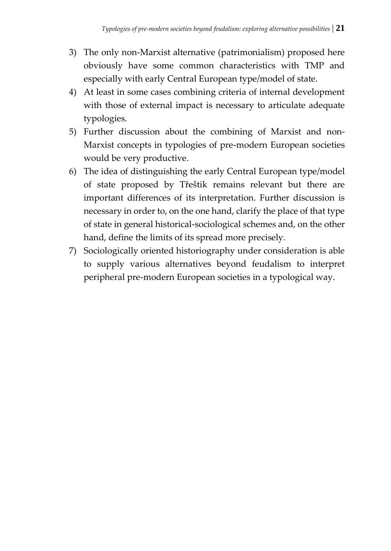- 3) The only non-Marxist alternative (patrimonialism) proposed here obviously have some common characteristics with TMP and especially with early Central European type/model of state.
- 4) At least in some cases combining criteria of internal development with those of external impact is necessary to articulate adequate typologies.
- 5) Further discussion about the combining of Marxist and non-Marxist concepts in typologies of pre-modern European societies would be very productive.
- 6) The idea of distinguishing the early Central European type/model of state proposed by Třeštik remains relevant but there are important differences of its interpretation. Further discussion is necessary in order to, on the one hand, clarify the place of that type of state in general historical-sociological schemes and, on the other hand, define the limits of its spread more precisely.
- 7) Sociologically oriented historiography under consideration is able to supply various alternatives beyond feudalism to interpret peripheral pre-modern European societies in a typological way.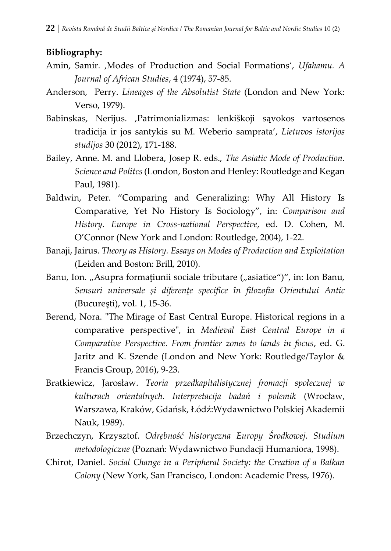#### **Bibliography:**

- Amin, Samir. 'Modes of Production and Social Formations', *Ufahamu. A Journal of African Studies*, 4 (1974), 57-85.
- Anderson, Perry. *Lineages of the Absolutist State* (London and New York: Verso, 1979).
- Babinskas, Nerijus. ,Patrimonializmas: lenkiškoji sąvokos vartosenos tradicija ir jos santykis su M. Weberio samprata', *Lietuvos istorijos studijos* 30 (2012), 171-188.
- Bailey, Anne. M. and Llobera, Josep R. eds., *The Asiatic Mode of Production. Science and Politcs*(London, Boston and Henley: Routledge and Kegan Paul, 1981).
- Baldwin, Peter. "Comparing and Generalizing: Why All History Is Comparative, Yet No History Is Sociology", in: *Comparison and History. Europe in Cross-national Perspective*, ed. D. Cohen, M. O'Connor (New York and London: Routledge, 2004), 1-22.
- Banaji, Jairus. *Theory as History. Essays on Modes of Production and Exploitation*  (Leiden and Boston: Brill, 2010).
- Banu, Ion. "Asupra formatiunii sociale tributare ("asiatice")", in: Ion Banu, *Sensuri universale şi diferenţe specifice în filozofia Orientului Antic* (Bucureşti), vol. 1, 15-36.
- Berend, Nora. "The Mirage of East Central Europe. Historical regions in a comparative perspective", in *Medieval East Central Europe in a Comparative Perspective. From frontier zones to lands in focus*, ed. G. Jaritz and K. Szende (London and New York: Routledge/Taylor & Francis Group, 2016), 9-23.
- Bratkiewicz, Jarosław. *Teoria przedkapitalistycznej fromacji społecznej w kulturach orientalnych. Interpretacija badań i polemik* (Wrocław, Warszawa, Kraków, Gdańsk, Łódź:Wydawnictwo Polskiej Akademii Nauk, 1989).
- Brzechczyn, Krzysztof. *Odrębność historyczna Europy Środkowej. Studium metodologiczne* (Poznań: Wydawnictwo Fundacji Humaniora, 1998).
- Chirot, Daniel. *Social Change in a Peripheral Society: the Creation of a Balkan Colony* (New York, San Francisco, London: Academic Press, 1976).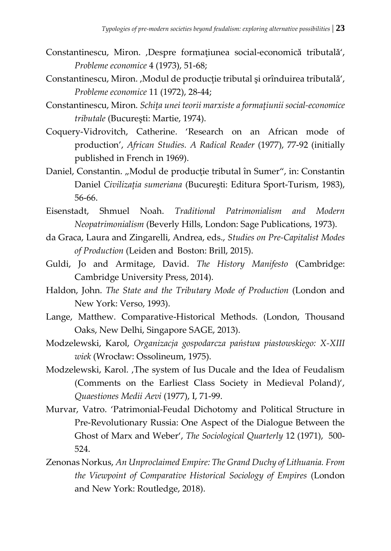- Constantinescu, Miron. ,Despre formațiunea social-economică tributală', *Probleme economice* 4 (1973), 51-68;
- Constantinescu, Miron. , Modul de productie tributal si orînduirea tributalǎ', *Probleme economice* 11 (1972), 28-44;
- Constantinescu, Miron. *Schiţa unei teorii marxiste a formaţiunii social-economice tributale* (Bucureşti: Martie, 1974).
- Coquery-Vidrovitch, Catherine. 'Research on an African mode of production', *African Studies. A Radical Reader* (1977), 77-92 (initially published in French in 1969).
- Daniel, Constantin. "Modul de producție tributal în Sumer", in: Constantin Daniel *Civilizaţia sumeriana* (Bucureşti: Editura Sport-Turism, 1983), 56-66.
- Eisenstadt, Shmuel Noah. *Traditional Patrimonialism and Modern Neopatrimonialism* (Beverly Hills, London: Sage Publications, 1973).
- da Graca, Laura and Zingarelli, Andrea, eds., *Studies on Pre-Capitalist Modes of Production* (Leiden and Boston: Brill, 2015).
- Guldi, Jo and Armitage, David. *The History Manifesto* (Cambridge: Cambridge University Press, 2014).
- Haldon, John. *The State and the Tributary Mode of Production* (London and New York: Verso, 1993).
- Lange, Matthew. Comparative-Historical Methods. (London, Thousand Oaks, New Delhi, Singapore SAGE, 2013).
- Modzelewski, Karol, *Organizacja gospodarcza państwa piastowskiego: X-XIII wiek* (Wrocław: Ossolineum, 1975).
- Modzelewski, Karol. , The system of Ius Ducale and the Idea of Feudalism (Comments on the Earliest Class Society in Medieval Poland)', *Quaestiones Medii Aevi* (1977), I, 71-99.
- Murvar, Vatro. 'Patrimonial-Feudal Dichotomy and Political Structure in Pre-Revolutionary Russia: One Aspect of the Dialogue Between the Ghost of Marx and Weber', *The Sociological Quarterly* 12 (1971), 500- 524.
- Zenonas Norkus, *An Unproclaimed Empire: The Grand Duchy of Lithuania. From the Viewpoint of Comparative Historical Sociology of Empires* (London and New York: Routledge, 2018).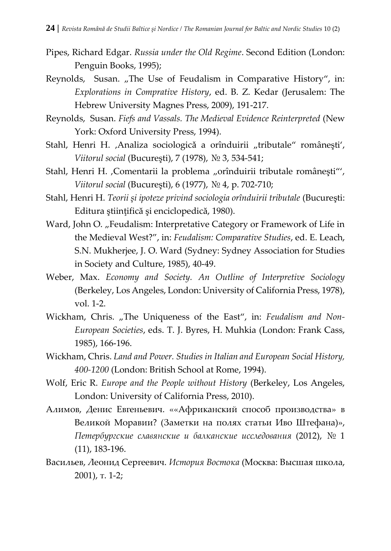- Pipes, Richard Edgar. *Russia under the Old Regime*. Second Edition (London: Penguin Books, 1995);
- Reynolds, Susan. "The Use of Feudalism in Comparative History", in: *Explorations in Comprative History*, ed. B. Z. Kedar (Jerusalem: The Hebrew University Magnes Press, 2009), 191-217.
- Reynolds, Susan. *Fiefs and Vassals. The Medieval Evidence Reinterpreted* (New York: Oxford University Press, 1994).
- Stahl, Henri H. ,Analiza sociologică a orînduirii "tributale" românești', *Viitorul social* (Bucureşti), 7 (1978), № 3, 534-541;
- Stahl, Henri H. , Comentarii la problema "orînduirii tributale românești"', *Viitorul social* (Bucureşti), 6 (1977), № 4, p. 702-710;
- Stahl, Henri H. *Teorii şi ipoteze privind sociologia orînduirii tributale* (Bucureşti: Editura științifică și enciclopedică, 1980).
- Ward, John O. "Feudalism: Interpretative Category or Framework of Life in the Medieval West?", in: *Feudalism: Comparative Studies*, ed. E. Leach, S.N. Mukherjee, J. O. Ward (Sydney: Sydney Association for Studies in Society and Culture, 1985), 40-49.
- Weber, Max. *Economy and Society. An Outline of Interpretive Sociology* (Berkeley, Los Angeles, London: University of California Press, 1978), vol. 1-2.
- Wickham, Chris. "The Uniqueness of the East", in: *Feudalism and Non-European Societies*, eds. T. J. Byres, H. Muhkia (London: Frank Cass, 1985), 166-196.
- Wickham, Chris. *Land and Power. Studies in Italian and European Social History, 400-1200* (London: British School at Rome, 1994).
- Wolf, Eric R. *Europe and the People without History* (Berkeley, Los Angeles, London: University of California Press, 2010).
- Алимов, Денис Евгеньевич. ««Африканский способ производства» в Великой Моравии? (Заметки на полях статьи Иво Штефана)», *Петербургские славянские и балканские исследования* (2012), № 1 (11), 183-196.
- Васильев, Леонид Сергеевич. *История Востока* (Москва: Высшая школа, 2001), т. 1-2;